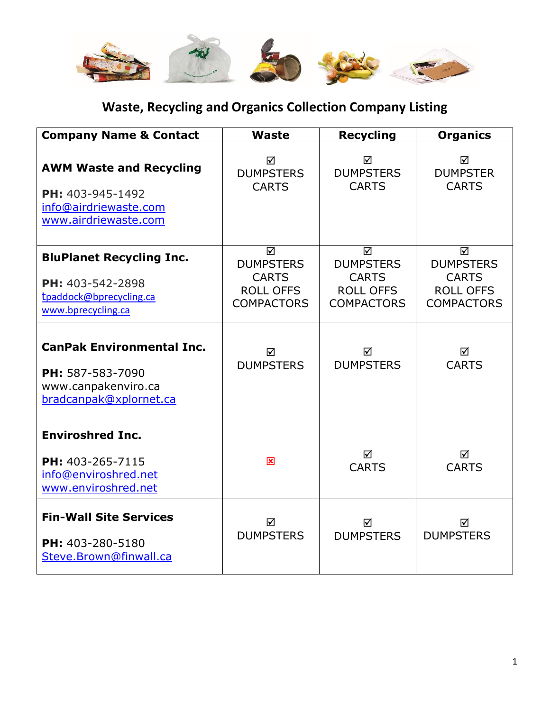

## **Waste, Recycling and Organics Collection Company Listing**

| <b>Company Name &amp; Contact</b>                                                                     | Waste                                                                          | <b>Recycling</b>                                                               | <b>Organics</b>                                                                |
|-------------------------------------------------------------------------------------------------------|--------------------------------------------------------------------------------|--------------------------------------------------------------------------------|--------------------------------------------------------------------------------|
| <b>AWM Waste and Recycling</b><br>PH: 403-945-1492<br>info@airdriewaste.com<br>www.airdriewaste.com   | ☑<br><b>DUMPSTERS</b><br><b>CARTS</b>                                          | ☑<br><b>DUMPSTERS</b><br><b>CARTS</b>                                          | ☑<br><b>DUMPSTER</b><br><b>CARTS</b>                                           |
| <b>BluPlanet Recycling Inc.</b><br>PH: 403-542-2898<br>tpaddock@bprecycling.ca<br>www.bprecycling.ca  | ☑<br><b>DUMPSTERS</b><br><b>CARTS</b><br><b>ROLL OFFS</b><br><b>COMPACTORS</b> | ☑<br><b>DUMPSTERS</b><br><b>CARTS</b><br><b>ROLL OFFS</b><br><b>COMPACTORS</b> | ☑<br><b>DUMPSTERS</b><br><b>CARTS</b><br><b>ROLL OFFS</b><br><b>COMPACTORS</b> |
| <b>CanPak Environmental Inc.</b><br>PH: 587-583-7090<br>www.canpakenviro.ca<br>bradcanpak@xplornet.ca | ☑<br><b>DUMPSTERS</b>                                                          | ☑<br><b>DUMPSTERS</b>                                                          | ☑<br><b>CARTS</b>                                                              |
| <b>Enviroshred Inc.</b><br>PH: 403-265-7115<br>info@enviroshred.net<br>www.enviroshred.net            | 図                                                                              | ☑<br><b>CARTS</b>                                                              | ☑<br><b>CARTS</b>                                                              |
| <b>Fin-Wall Site Services</b><br>PH: 403-280-5180<br>Steve.Brown@finwall.ca                           | ☑<br><b>DUMPSTERS</b>                                                          | ☑<br><b>DUMPSTERS</b>                                                          | ☑<br><b>DUMPSTERS</b>                                                          |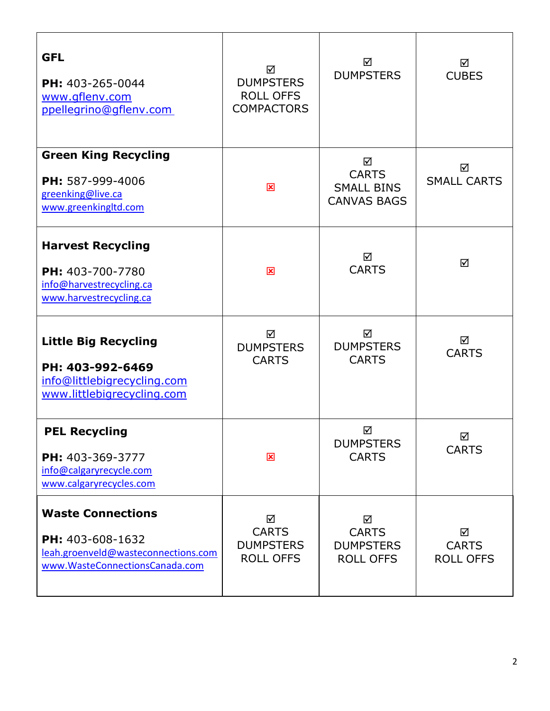| <b>GFL</b><br>PH: 403-265-0044<br>www.gflenv.com<br>ppellegrino@gflenv.com                                            | ☑<br><b>DUMPSTERS</b><br><b>ROLL OFFS</b><br><b>COMPACTORS</b> | ☑<br><b>DUMPSTERS</b>                                        | ☑<br><b>CUBES</b>                     |
|-----------------------------------------------------------------------------------------------------------------------|----------------------------------------------------------------|--------------------------------------------------------------|---------------------------------------|
| <b>Green King Recycling</b><br>PH: 587-999-4006<br>greenking@live.ca<br>www.greenkingltd.com                          | 図                                                              | ☑<br><b>CARTS</b><br><b>SMALL BINS</b><br><b>CANVAS BAGS</b> | ☑<br><b>SMALL CARTS</b>               |
| <b>Harvest Recycling</b><br>PH: 403-700-7780<br>info@harvestrecycling.ca<br>www.harvestrecycling.ca                   | 図                                                              | ☑<br><b>CARTS</b>                                            | ☑                                     |
| <b>Little Big Recycling</b><br>PH: 403-992-6469<br>info@littlebigrecycling.com<br>www.littlebigrecycling.com          | ☑<br><b>DUMPSTERS</b><br><b>CARTS</b>                          | ☑<br><b>DUMPSTERS</b><br><b>CARTS</b>                        | ☑<br><b>CARTS</b>                     |
| <b>PEL Recycling</b><br>PH: 403-369-3777<br>info@calgaryrecycle.com<br>www.calgaryrecycles.com                        | $\overline{\mathbf{x}}$                                        | ☑<br><b>DUMPSTERS</b><br><b>CARTS</b>                        | ☑<br><b>CARTS</b>                     |
| <b>Waste Connections</b><br>PH: 403-608-1632<br>leah.groenveld@wasteconnections.com<br>www.WasteConnectionsCanada.com | ☑<br><b>CARTS</b><br><b>DUMPSTERS</b><br><b>ROLL OFFS</b>      | ☑<br><b>CARTS</b><br><b>DUMPSTERS</b><br><b>ROLL OFFS</b>    | ☑<br><b>CARTS</b><br><b>ROLL OFFS</b> |